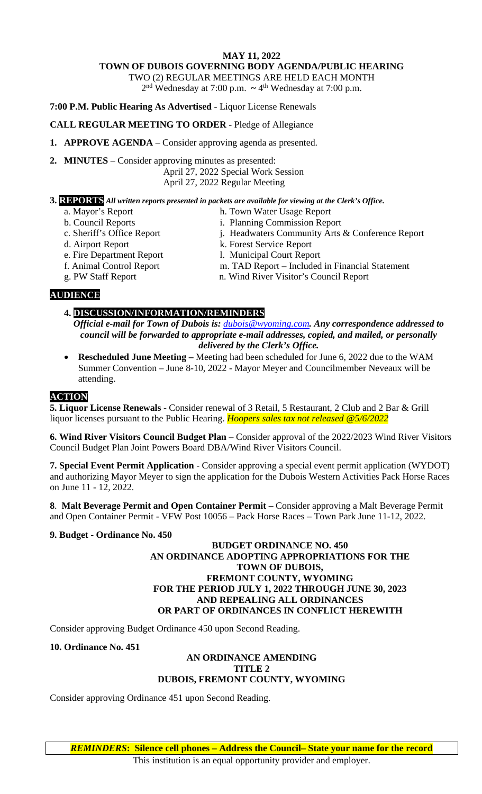#### **MAY 11, 2022 TOWN OF DUBOIS GOVERNING BODY AGENDA/PUBLIC HEARING**

TWO (2) REGULAR MEETINGS ARE HELD EACH MONTH

2nd Wednesday at 7:00 p.m. **~** 4th Wednesday at 7:00 p.m.

**7:00 P.M. Public Hearing As Advertised** - Liquor License Renewals

## **CALL REGULAR MEETING TO ORDER** - Pledge of Allegiance

**1. APPROVE AGENDA** – Consider approving agenda as presented.

**2. MINUTES** – Consider approving minutes as presented: April 27, 2022 Special Work Session

April 27, 2022 Regular Meeting

### **3. REPORTS** *All written reports presented in packets are available for viewing at the Clerk's Office.*

- 
- a. Mayor's Report h. Town Water Usage Report
- b. Council Reports i. Planning Commission Report
- c. Sheriff's Office Report j. Headwaters Community Arts & Conference Report
- 
- 
- 

- d. Airport Report **K. Forest Service Report**
- e. Fire Department Report 1. Municipal Court Report
- f. Animal Control Report m. TAD Report Included in Financial Statement
- g. PW Staff Report n. Wind River Visitor's Council Report

# **AUDIENCE**

# **4. DISCUSSION/INFORMATION/REMINDERS**

- *Official e-mail for Town of Dubois is: [dubois@wyoming.com](mailto:dubois@wyoming.com). Any correspondence addressed to council will be forwarded to appropriate e-mail addresses, copied, and mailed, or personally delivered by the Clerk's Office.*
- **Rescheduled June Meeting –** Meeting had been scheduled for June 6, 2022 due to the WAM Summer Convention – June 8-10, 2022 - Mayor Meyer and Councilmember Neveaux will be attending.

# **ACTION**

**5. Liquor License Renewals** - Consider renewal of 3 Retail, 5 Restaurant, 2 Club and 2 Bar & Grill liquor licenses pursuant to the Public Hearing. *Hoopers sales tax not released @5/6/2022*

**6. Wind River Visitors Council Budget Plan** – Consider approval of the 2022/2023 Wind River Visitors Council Budget Plan Joint Powers Board DBA/Wind River Visitors Council.

**7. Special Event Permit Application** - Consider approving a special event permit application (WYDOT) and authorizing Mayor Meyer to sign the application for the Dubois Western Activities Pack Horse Races on June 11 - 12, 2022.

**8**. **Malt Beverage Permit and Open Container Permit –** Consider approving a Malt Beverage Permit and Open Container Permit - VFW Post 10056 – Pack Horse Races – Town Park June 11-12, 2022.

### **9. Budget - Ordinance No. 450**

### **BUDGET ORDINANCE NO. 450 AN ORDINANCE ADOPTING APPROPRIATIONS FOR THE TOWN OF DUBOIS, FREMONT COUNTY, WYOMING FOR THE PERIOD JULY 1, 2022 THROUGH JUNE 30, 2023 AND REPEALING ALL ORDINANCES OR PART OF ORDINANCES IN CONFLICT HEREWITH**

Consider approving Budget Ordinance 450 upon Second Reading.

### **10. Ordinance No. 451**

#### **AN ORDINANCE AMENDING TITLE 2 DUBOIS, FREMONT COUNTY, WYOMING**

Consider approving Ordinance 451 upon Second Reading.